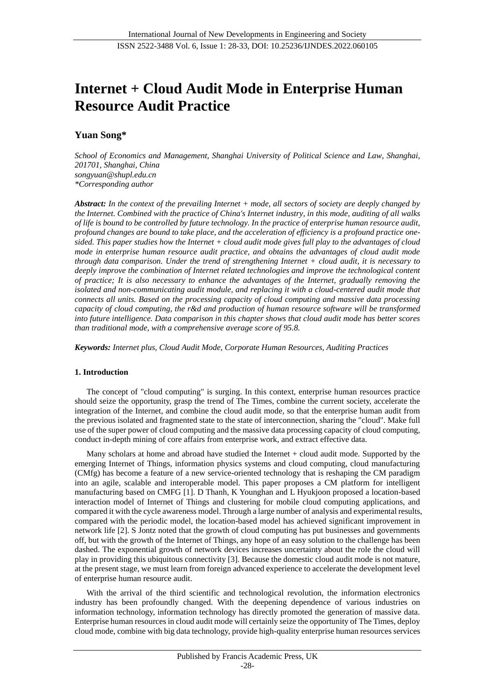# **Internet + Cloud Audit Mode in Enterprise Human Resource Audit Practice**

# **Yuan Song\***

*School of Economics and Management, Shanghai University of Political Science and Law, Shanghai, 201701, Shanghai, China songyuan@shupl.edu.cn \*Corresponding author*

*Abstract: In the context of the prevailing Internet + mode, all sectors of society are deeply changed by the Internet. Combined with the practice of China's Internet industry, in this mode, auditing of all walks of life is bound to be controlled by future technology. In the practice of enterprise human resource audit, profound changes are bound to take place, and the acceleration of efficiency is a profound practice onesided. This paper studies how the Internet + cloud audit mode gives full play to the advantages of cloud mode in enterprise human resource audit practice, and obtains the advantages of cloud audit mode through data comparison. Under the trend of strengthening Internet + cloud audit, it is necessary to deeply improve the combination of Internet related technologies and improve the technological content of practice; It is also necessary to enhance the advantages of the Internet, gradually removing the isolated and non-communicating audit module, and replacing it with a cloud-centered audit mode that connects all units. Based on the processing capacity of cloud computing and massive data processing capacity of cloud computing, the r&d and production of human resource software will be transformed into future intelligence. Data comparison in this chapter shows that cloud audit mode has better scores than traditional mode, with a comprehensive average score of 95.8.*

*Keywords: Internet plus, Cloud Audit Mode, Corporate Human Resources[, Auditing Practices](http://dict.youdao.com/w/information%20system%20design/#keyfrom=E2Ctranslation)*

## **1. Introduction**

The concept of "cloud computing" is surging. In this context, enterprise human resources practice should seize the opportunity, grasp the trend of The Times, combine the current society, accelerate the integration of the Internet, and combine the cloud audit mode, so that the enterprise human audit from the previous isolated and fragmented state to the state of interconnection, sharing the "cloud". Make full use of the super power of cloud computing and the massive data processing capacity of cloud computing, conduct in-depth mining of core affairs from enterprise work, and extract effective data.

Many scholars at home and abroad have studied the Internet + cloud audit mode. Supported by the emerging Internet of Things, information physics systems and cloud computing, cloud manufacturing (CMfg) has become a feature of a new service-oriented technology that is reshaping the CM paradigm into an agile, scalable and interoperable model. This paper proposes a CM platform for intelligent manufacturing based on CMFG [1]. D Thanh, K Younghan and L Hyukjoon proposed a location-based interaction model of Internet of Things and clustering for mobile cloud computing applications, and compared it with the cycle awareness model. Through a large number of analysis and experimental results, compared with the periodic model, the location-based model has achieved significant improvement in network life [2]. S Jontz noted that the growth of cloud computing has put businesses and governments off, but with the growth of the Internet of Things, any hope of an easy solution to the challenge has been dashed. The exponential growth of network devices increases uncertainty about the role the cloud will play in providing this ubiquitous connectivity [3]. Because the domestic cloud audit mode is not mature, at the present stage, we must learn from foreign advanced experience to accelerate the development level of enterprise human resource audit.

With the arrival of the third scientific and technological revolution, the information electronics industry has been profoundly changed. With the deepening dependence of various industries on information technology, information technology has directly promoted the generation of massive data. Enterprise human resources in cloud audit mode will certainly seize the opportunity of The Times, deploy cloud mode, combine with big data technology, provide high-quality enterprise human resources services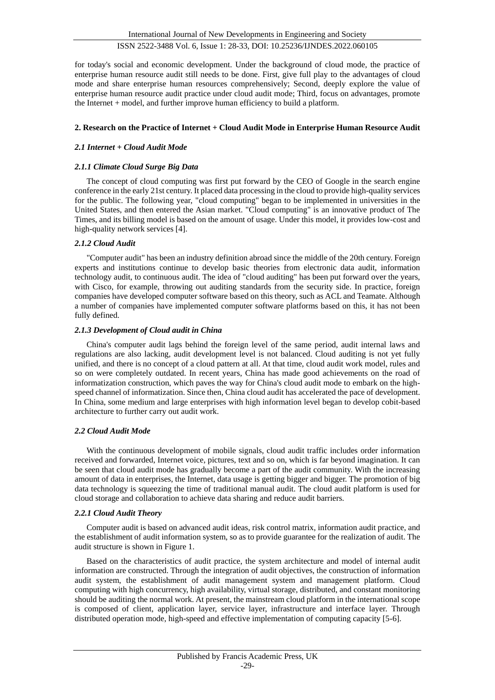for today's social and economic development. Under the background of cloud mode, the practice of enterprise human resource audit still needs to be done. First, give full play to the advantages of cloud mode and share enterprise human resources comprehensively; Second, deeply explore the value of enterprise human resource audit practice under cloud audit mode; Third, focus on advantages, promote the Internet + model, and further improve human efficiency to build a platform.

# **2. Research on the Practice of Internet + Cloud Audit Mode in Enterprise Human Resource Audit**

# *2.1 Internet + Cloud Audit Mode*

# *2.1.1 Climate Cloud Surge Big Data*

The concept of cloud computing was first put forward by the CEO of Google in the search engine conference in the early 21st century. It placed data processing in the cloud to provide high-quality services for the public. The following year, "cloud computing" began to be implemented in universities in the United States, and then entered the Asian market. "Cloud computing" is an innovative product of The Times, and its billing model is based on the amount of usage. Under this model, it provides low-cost and high-quality network services [4].

# *2.1.2 Cloud Audit*

"Computer audit" has been an industry definition abroad since the middle of the 20th century. Foreign experts and institutions continue to develop basic theories from electronic data audit, information technology audit, to continuous audit. The idea of "cloud auditing" has been put forward over the years, with Cisco, for example, throwing out auditing standards from the security side. In practice, foreign companies have developed computer software based on this theory, such as ACL and Teamate. Although a number of companies have implemented computer software platforms based on this, it has not been fully defined.

# *2.1.3 Development of Cloud audit in China*

China's computer audit lags behind the foreign level of the same period, audit internal laws and regulations are also lacking, audit development level is not balanced. Cloud auditing is not yet fully unified, and there is no concept of a cloud pattern at all. At that time, cloud audit work model, rules and so on were completely outdated. In recent years, China has made good achievements on the road of informatization construction, which paves the way for China's cloud audit mode to embark on the highspeed channel of informatization. Since then, China cloud audit has accelerated the pace of development. In China, some medium and large enterprises with high information level began to develop cobit-based architecture to further carry out audit work.

## *2.2 Cloud Audit Mode*

With the continuous development of mobile signals, cloud audit traffic includes order information received and forwarded, Internet voice, pictures, text and so on, which is far beyond imagination. It can be seen that cloud audit mode has gradually become a part of the audit community. With the increasing amount of data in enterprises, the Internet, data usage is getting bigger and bigger. The promotion of big data technology is squeezing the time of traditional manual audit. The cloud audit platform is used for cloud storage and collaboration to achieve data sharing and reduce audit barriers.

# *2.2.1 Cloud Audit Theory*

Computer audit is based on advanced audit ideas, risk control matrix, information audit practice, and the establishment of audit information system, so as to provide guarantee for the realization of audit. The audit structure is shown in Figure 1.

Based on the characteristics of audit practice, the system architecture and model of internal audit information are constructed. Through the integration of audit objectives, the construction of information audit system, the establishment of audit management system and management platform. Cloud computing with high concurrency, high availability, virtual storage, distributed, and constant monitoring should be auditing the normal work. At present, the mainstream cloud platform in the international scope is composed of client, application layer, service layer, infrastructure and interface layer. Through distributed operation mode, high-speed and effective implementation of computing capacity [5-6].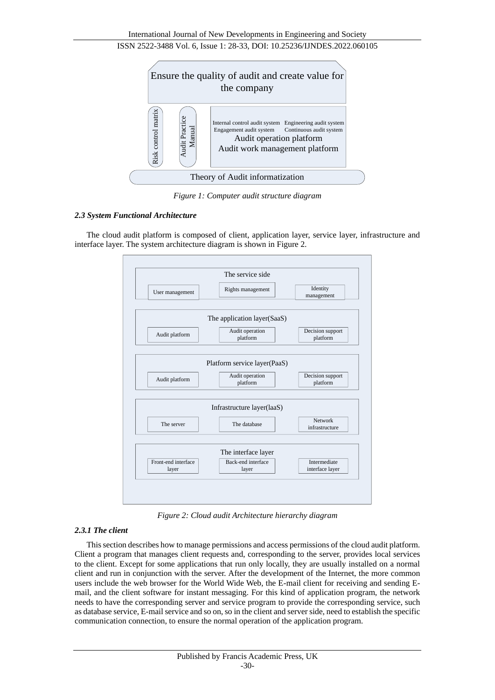

*Figure 1: Computer audit structure diagram*

# *2.3 System Functional Architecture*

The cloud audit platform is composed of client, application layer, service layer, infrastructure and interface layer. The system architecture diagram is shown in Figure 2.



*Figure 2: Cloud audit Architecture hierarchy diagram*

# *2.3.1 The client*

This section describes how to manage permissions and access permissions of the cloud audit platform. Client a program that manages client requests and, corresponding to the server, provides local services to the client. Except for some applications that run only locally, they are usually installed on a normal client and run in conjunction with the server. After the development of the Internet, the more common users include the web browser for the World Wide Web, the E-mail client for receiving and sending Email, and the client software for instant messaging. For this kind of application program, the network needs to have the corresponding server and service program to provide the corresponding service, such as database service, E-mail service and so on, so in the client and server side, need to establish the specific communication connection, to ensure the normal operation of the application program.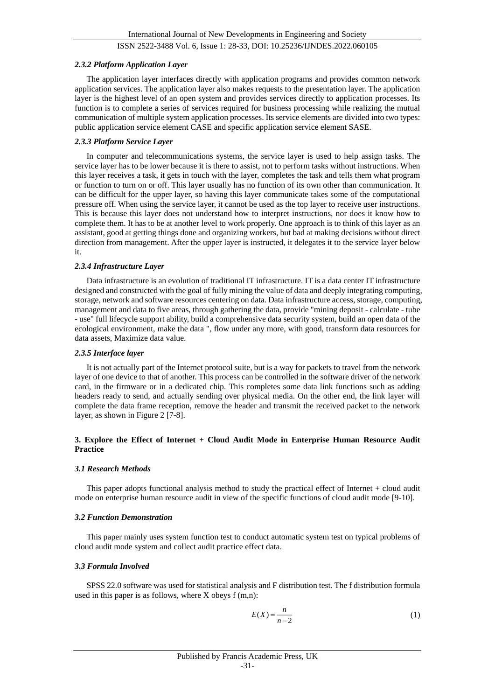#### *2.3.2 Platform Application Layer*

The application layer interfaces directly with application programs and provides common network application services. The application layer also makes requests to the presentation layer. The application layer is the highest level of an open system and provides services directly to application processes. Its function is to complete a series of services required for business processing while realizing the mutual communication of multiple system application processes. Its service elements are divided into two types: public application service element CASE and specific application service element SASE.

### *2.3.3 Platform Service Layer*

In computer and telecommunications systems, the service layer is used to help assign tasks. The service layer has to be lower because it is there to assist, not to perform tasks without instructions. When this layer receives a task, it gets in touch with the layer, completes the task and tells them what program or function to turn on or off. This layer usually has no function of its own other than communication. It can be difficult for the upper layer, so having this layer communicate takes some of the computational pressure off. When using the service layer, it cannot be used as the top layer to receive user instructions. This is because this layer does not understand how to interpret instructions, nor does it know how to complete them. It has to be at another level to work properly. One approach is to think of this layer as an assistant, good at getting things done and organizing workers, but bad at making decisions without direct direction from management. After the upper layer is instructed, it delegates it to the service layer below it.

#### *2.3.4 Infrastructure Layer*

Data infrastructure is an evolution of traditional IT infrastructure. IT is a data center IT infrastructure designed and constructed with the goal of fully mining the value of data and deeply integrating computing, storage, network and software resources centering on data. Data infrastructure access, storage, computing, management and data to five areas, through gathering the data, provide "mining deposit - calculate - tube - use" full lifecycle support ability, build a comprehensive data security system, build an open data of the ecological environment, make the data ", flow under any more, with good, transform data resources for data assets, Maximize data value.

#### *2.3.5 Interface layer*

It is not actually part of the Internet protocol suite, but is a way for packets to travel from the network layer of one device to that of another. This process can be controlled in the software driver of the network card, in the firmware or in a dedicated chip. This completes some data link functions such as adding headers ready to send, and actually sending over physical media. On the other end, the link layer will complete the data frame reception, remove the header and transmit the received packet to the network layer, as shown in Figure 2 [7-8].

## **3. Explore the Effect of Internet + Cloud Audit Mode in Enterprise Human Resource Audit Practice**

#### *3.1 Research Methods*

This paper adopts functional analysis method to study the practical effect of Internet + cloud audit mode on enterprise human resource audit in view of the specific functions of cloud audit mode [9-10].

#### *3.2 Function Demonstration*

This paper mainly uses system function test to conduct automatic system test on typical problems of cloud audit mode system and collect audit practice effect data.

## *3.3 Formula Involved*

SPSS 22.0 software was used for statistical analysis and F distribution test. The f distribution formula used in this paper is as follows, where X obeys f (m,n):

$$
E(X) = \frac{n}{n-2} \tag{1}
$$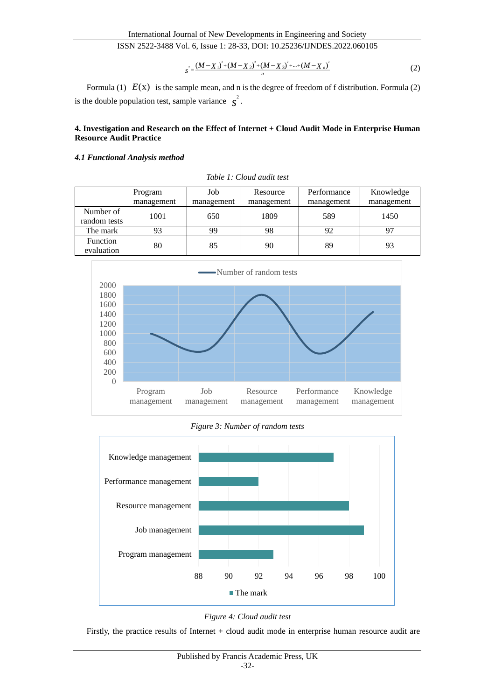$$
s^{2} = \frac{(M - X_{1})^{2} + (M - X_{2})^{2} + (M - X_{3})^{2} + ... + (M - X_{n})^{2}}{n}
$$
 (2)

Formula  $(1)$   $E(x)$  is the sample mean, and n is the degree of freedom of f distribution. Formula  $(2)$ is the double population test, sample variance  $\int_{S}^{2}$ .

# **4. Investigation and Research on the Effect of Internet + Cloud Audit Mode in Enterprise Human Resource Audit Practice**

## *4.1 Functional Analysis method*

|                           | Program    | Job        | Resource   | Performance | Knowledge  |
|---------------------------|------------|------------|------------|-------------|------------|
|                           | management | management | management | management  | management |
| Number of<br>random tests | 1001       | 650        | 1809       | 589         | 1450       |
| The mark                  | 93         | 99         | 98         | 92          | 97         |
| Function<br>evaluation    | 80         | 85         | 90         | 89          | 93         |

*Table 1: Cloud audit test*



*Figure 3: Number of random tests*





Firstly, the practice results of Internet + cloud audit mode in enterprise human resource audit are